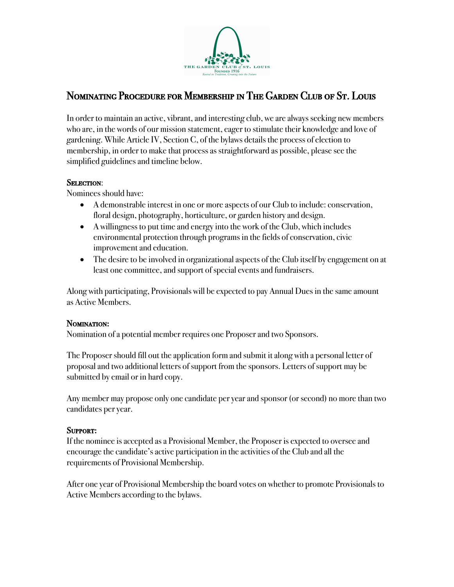

# Nominating Procedure for Membership in The Garden Club of St. Louis

In order to maintain an active, vibrant, and interesting club, we are always seeking new members who are, in the words of our mission statement, eager to stimulate their knowledge and love of gardening. While Article IV, Section C, of the bylaws details the process of election to membership, in order to make that process as straightforward as possible, please see the simplified guidelines and timeline below.

### SELECTION:

Nominees should have:

- A demonstrable interest in one or more aspects of our Club to include: conservation, floral design, photography, horticulture, or garden history and design.
- A willingness to put time and energy into the work of the Club, which includes environmental protection through programs in the fields of conservation, civic improvement and education.
- The desire to be involved in organizational aspects of the Club itself by engagement on at least one committee, and support of special events and fundraisers.

Along with participating, Provisionals will be expected to pay Annual Dues in the same amount as Active Members.

#### NOMINATION:

Nomination of a potential member requires one Proposer and two Sponsors.

The Proposer should fill out the application form and submit it along with a personal letter of proposal and two additional letters of support from the sponsors. Letters of support may be submitted by email or in hard copy.

Any member may propose only one candidate per year and sponsor (or second) no more than two candidates per year.

#### Support**:**

If the nominee is accepted as a Provisional Member, the Proposer is expected to oversee and encourage the candidate's active participation in the activities of the Club and all the requirements of Provisional Membership.

After one year of Provisional Membership the board votes on whether to promote Provisionals to Active Members according to the bylaws.